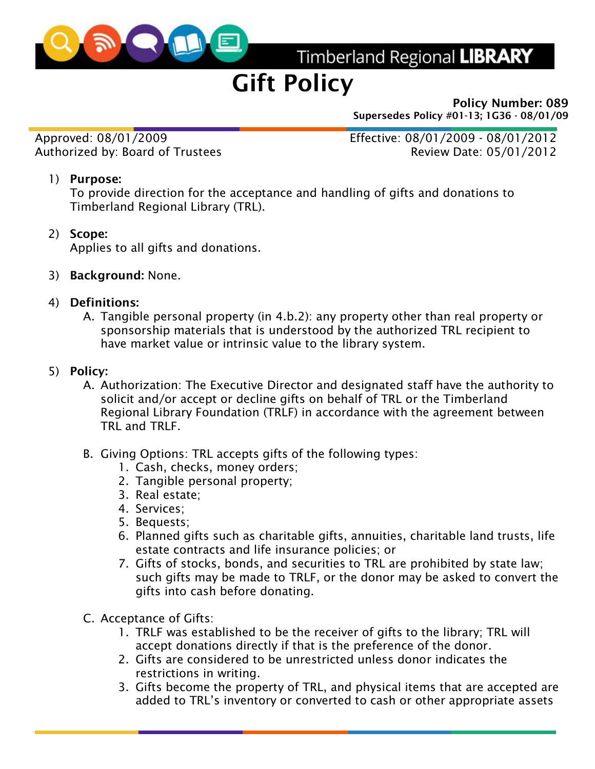

Timberland Regional LIBRARY

# Gift Policy

Policy Number: 089 Supersedes Policy #01-13; 1G36 - 08/01/09

Approved: 08/01/2009 Effective: 08/01/2009 - 08/01/2012 Authorized by: Board of Trustees Authorized by: Board of Trustees

### 1) Purpose:

To provide direction for the acceptance and handling of gifts and donations to Timberland Regional Library (TRL).

2) Scope:

Applies to all gifts and donations.

- 3) Background: None.
- 4) Definitions:
	- A. Tangible personal property (in 4.b.2): any property other than real property or sponsorship materials that is understood by the authorized TRL recipient to have market value or intrinsic value to the library system.

### 5) Policy:

- A. Authorization: The Executive Director and designated staff have the authority to solicit and/or accept or decline gifts on behalf of TRL or the Timberland Regional Library Foundation (TRLF) in accordance with the agreement between TRL and TRLF.
- B. Giving Options: TRL accepts gifts of the following types:
	- 1. Cash, checks, money orders;
	- 2. Tangible personal property;
	- 3. Real estate;
	- 4. Services;
	- 5. Bequests;
	- 6. Planned gifts such as charitable gifts, annuities, charitable land trusts, life estate contracts and life insurance policies; or
	- 7. Gifts of stocks, bonds, and securities to TRL are prohibited by state law; such gifts may be made to TRLF, or the donor may be asked to convert the gifts into cash before donating.

C. Acceptance of Gifts:

- 1. TRLF was established to be the receiver of gifts to the library; TRL will accept donations directly if that is the preference of the donor.
- 2. Gifts are considered to be unrestricted unless donor indicates the restrictions in writing.
- 3. Gifts become the property of TRL, and physical items that are accepted are added to TRL's inventory or converted to cash or other appropriate assets